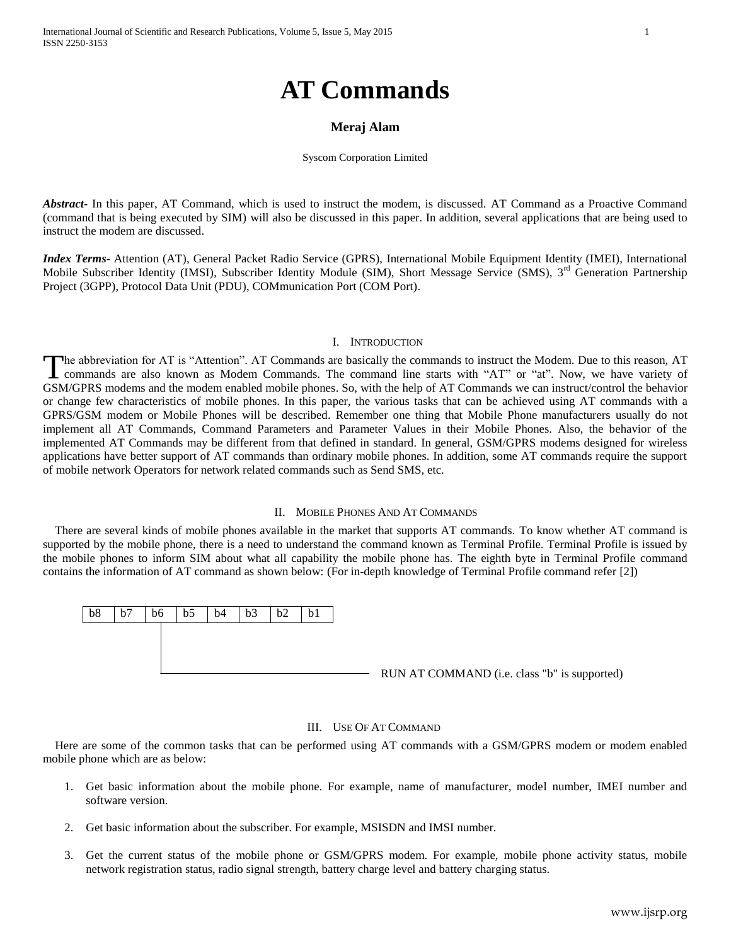# **AT Commands**

# **Meraj Alam**

#### Syscom Corporation Limited

*Abstract***-** In this paper, AT Command, which is used to instruct the modem, is discussed. AT Command as a Proactive Command (command that is being executed by SIM) will also be discussed in this paper. In addition, several applications that are being used to instruct the modem are discussed.

*Index Terms*- Attention (AT), General Packet Radio Service (GPRS), International Mobile Equipment Identity (IMEI), International Mobile Subscriber Identity (IMSI), Subscriber Identity Module (SIM), Short Message Service (SMS), 3<sup>rd</sup> Generation Partnership Project (3GPP), Protocol Data Unit (PDU), COMmunication Port (COM Port).

# I. INTRODUCTION

he abbreviation for AT is "Attention". AT Commands are basically the commands to instruct the Modem. Due to this reason, AT The abbreviation for AT is "Attention". AT Commands are basically the commands to instruct the Modem. Due to this reason, AT commands are also known as Modem Commands. The command line starts with "AT" or "at". Now, we hav GSM/GPRS modems and the modem enabled mobile phones. So, with the help of AT Commands we can instruct/control the behavior or change few characteristics of mobile phones. In this paper, the various tasks that can be achieved using AT commands with a GPRS/GSM modem or Mobile Phones will be described. Remember one thing that Mobile Phone manufacturers usually do not implement all AT Commands, Command Parameters and Parameter Values in their Mobile Phones. Also, the behavior of the implemented AT Commands may be different from that defined in standard. In general, GSM/GPRS modems designed for wireless applications have better support of AT commands than ordinary mobile phones. In addition, some AT commands require the support of mobile network Operators for network related commands such as Send SMS, etc.

# II. MOBILE PHONES AND AT COMMANDS

 There are several kinds of mobile phones available in the market that supports AT commands. To know whether AT command is supported by the mobile phone, there is a need to understand the command known as Terminal Profile. Terminal Profile is issued by the mobile phones to inform SIM about what all capability the mobile phone has. The eighth byte in Terminal Profile command contains the information of AT command as shown below: (For in-depth knowledge of Terminal Profile command refer [2])



## III. USE OF AT COMMAND

 Here are some of the common tasks that can be performed using AT commands with a GSM/GPRS modem or modem enabled mobile phone which are as below:

- 1. Get basic information about the mobile phone. For example, name of manufacturer, model number, IMEI number and software version.
- 2. Get basic information about the subscriber. For example, MSISDN and IMSI number.
- 3. Get the current status of the mobile phone or GSM/GPRS modem. For example, mobile phone activity status, mobile network registration status, radio signal strength, battery charge level and battery charging status.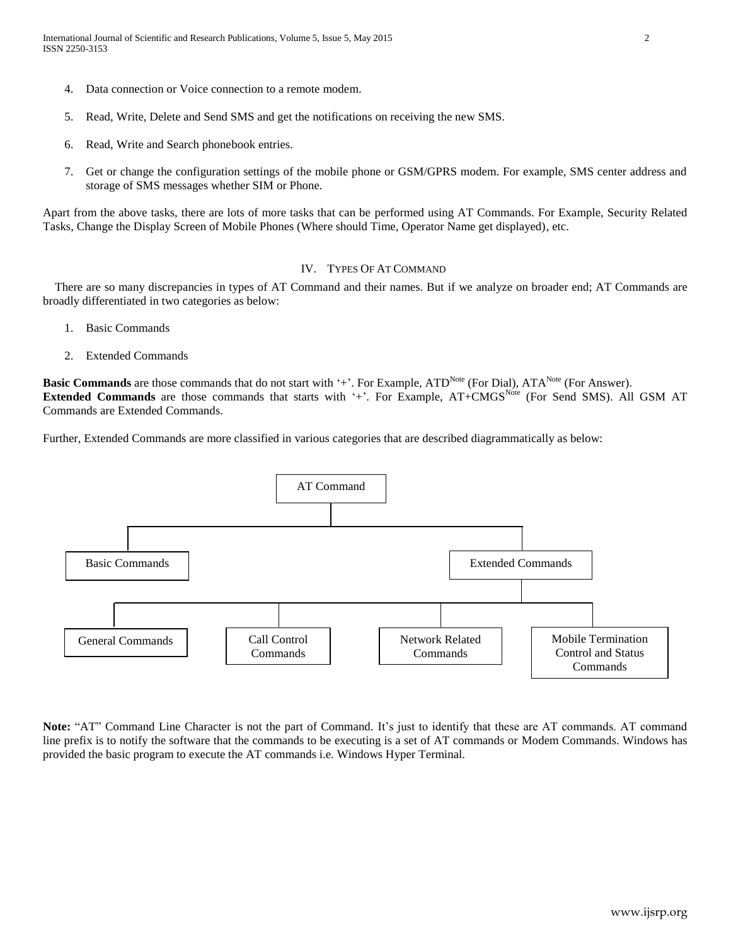- 4. Data connection or Voice connection to a remote modem.
- 5. Read, Write, Delete and Send SMS and get the notifications on receiving the new SMS.
- 6. Read, Write and Search phonebook entries.
- 7. Get or change the configuration settings of the mobile phone or GSM/GPRS modem. For example, SMS center address and storage of SMS messages whether SIM or Phone.

Apart from the above tasks, there are lots of more tasks that can be performed using AT Commands. For Example, Security Related Tasks, Change the Display Screen of Mobile Phones (Where should Time, Operator Name get displayed), etc.

# IV. TYPES OF AT COMMAND

 There are so many discrepancies in types of AT Command and their names. But if we analyze on broader end; AT Commands are broadly differentiated in two categories as below:

- 1. Basic Commands
- 2. Extended Commands

**Basic Commands** are those commands that do not start with '+'. For Example, ATD<sup>Note</sup> (For Dial), ATA<sup>Note</sup> (For Answer). **Extended Commands** are those commands that starts with '+'. For Example, AT+CMGS<sup>Note</sup> (For Send SMS). All GSM AT Commands are Extended Commands.

Further, Extended Commands are more classified in various categories that are described diagrammatically as below:



**Note:** "AT" Command Line Character is not the part of Command. It's just to identify that these are AT commands. AT command line prefix is to notify the software that the commands to be executing is a set of AT commands or Modem Commands. Windows has provided the basic program to execute the AT commands i.e. Windows Hyper Terminal.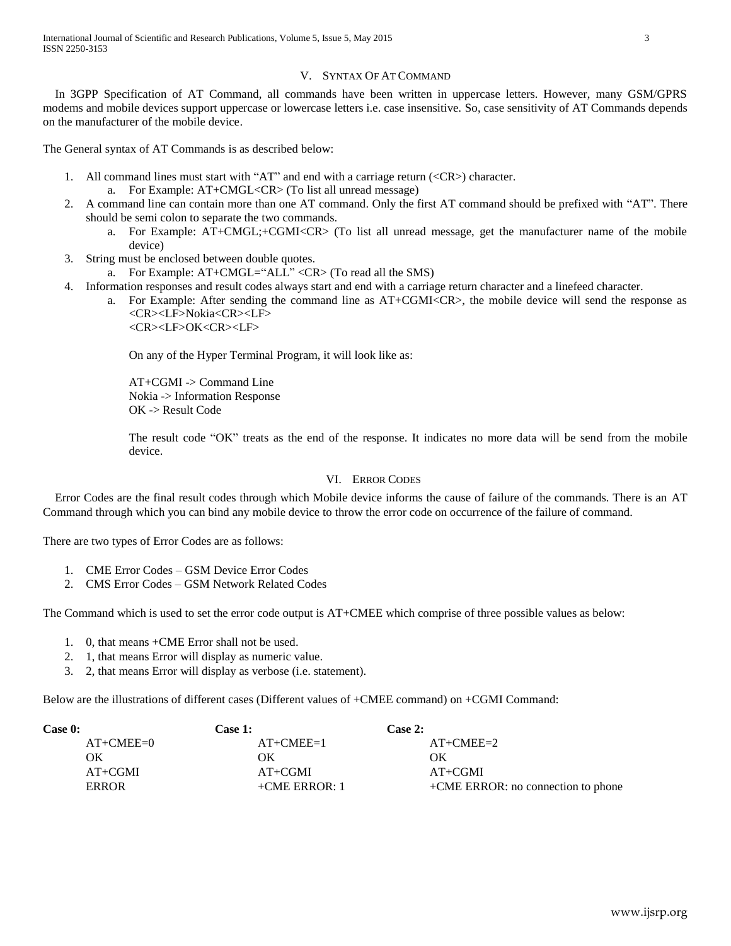# V. SYNTAX OF AT COMMAND

 In 3GPP Specification of AT Command, all commands have been written in uppercase letters. However, many GSM/GPRS modems and mobile devices support uppercase or lowercase letters i.e. case insensitive. So, case sensitivity of AT Commands depends on the manufacturer of the mobile device.

The General syntax of AT Commands is as described below:

- 1. All command lines must start with "AT" and end with a carriage return (<CR>) character.
	- a. For Example: AT+CMGL<CR> (To list all unread message)
- 2. A command line can contain more than one AT command. Only the first AT command should be prefixed with "AT". There should be semi colon to separate the two commands.
	- a. For Example: AT+CMGL;+CGMI<CR> (To list all unread message, get the manufacturer name of the mobile device)
- 3. String must be enclosed between double quotes.
	- a. For Example: AT+CMGL="ALL" <CR> (To read all the SMS)
- 4. Information responses and result codes always start and end with a carriage return character and a linefeed character.
	- a. For Example: After sending the command line as AT+CGMI<CR>, the mobile device will send the response as <CR><LF>Nokia<CR><LF> <CR><LF>OK<CR><LF>

On any of the Hyper Terminal Program, it will look like as:

AT+CGMI -> Command Line Nokia -> Information Response OK -> Result Code

The result code "OK" treats as the end of the response. It indicates no more data will be send from the mobile device.

# VI. ERROR CODES

Error Codes are the final result codes through which Mobile device informs the cause of failure of the commands. There is an AT Command through which you can bind any mobile device to throw the error code on occurrence of the failure of command.

There are two types of Error Codes are as follows:

- 1. CME Error Codes GSM Device Error Codes
- 2. CMS Error Codes GSM Network Related Codes

The Command which is used to set the error code output is AT+CMEE which comprise of three possible values as below:

- 1. 0, that means +CME Error shall not be used.
- 2. 1, that means Error will display as numeric value.
- 3. 2, that means Error will display as verbose (i.e. statement).

Below are the illustrations of different cases (Different values of +CMEE command) on +CGMI Command:

| Case 0:      | <b>Case 1:</b>  | <b>Case 2:</b>                     |
|--------------|-----------------|------------------------------------|
| $AT+CMEE=0$  | $AT+CMEE=1$     | $AT+CMEE=2$                        |
| OК           | OК              | OК                                 |
| $AT+CGMI$    | $AT+CGMI$       | $AT+CGMI$                          |
| <b>ERROR</b> | $+CME$ ERROR: 1 | +CME ERROR: no connection to phone |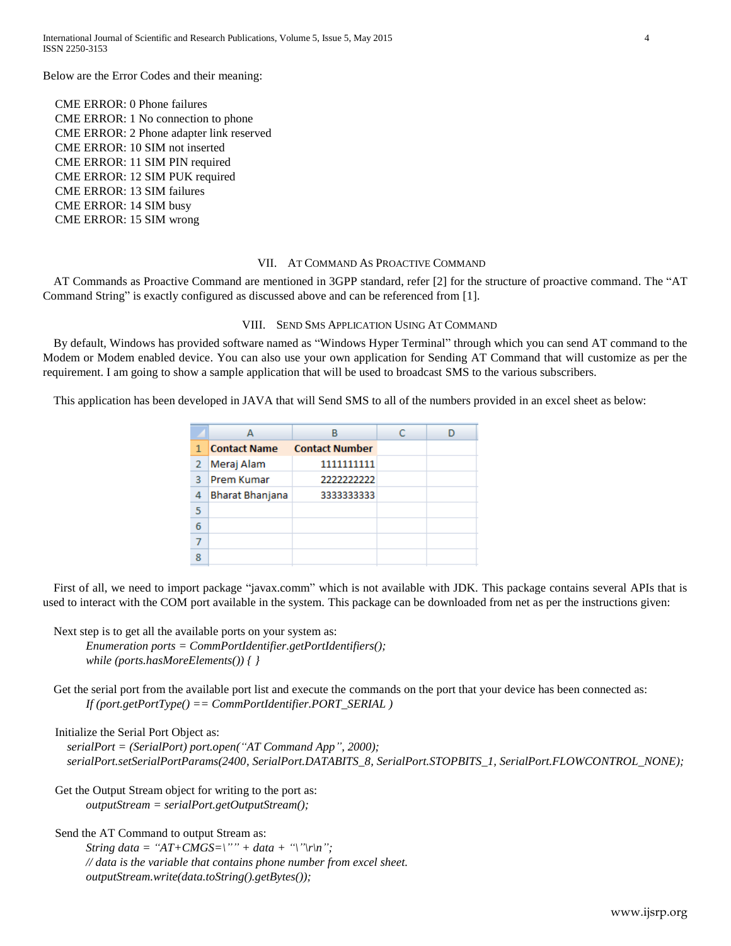Below are the Error Codes and their meaning:

CME ERROR: 0 Phone failures CME ERROR: 1 No connection to phone CME ERROR: 2 Phone adapter link reserved CME ERROR: 10 SIM not inserted CME ERROR: 11 SIM PIN required CME ERROR: 12 SIM PUK required CME ERROR: 13 SIM failures CME ERROR: 14 SIM busy CME ERROR: 15 SIM wrong

# VII. AT COMMAND AS PROACTIVE COMMAND

AT Commands as Proactive Command are mentioned in 3GPP standard, refer [2] for the structure of proactive command. The "AT Command String" is exactly configured as discussed above and can be referenced from [1].

## VIII. SEND SMS APPLICATION USING AT COMMAND

By default, Windows has provided software named as "Windows Hyper Terminal" through which you can send AT command to the Modem or Modem enabled device. You can also use your own application for Sending AT Command that will customize as per the requirement. I am going to show a sample application that will be used to broadcast SMS to the various subscribers.

This application has been developed in JAVA that will Send SMS to all of the numbers provided in an excel sheet as below:

|   |                        | R                     |  |
|---|------------------------|-----------------------|--|
| 1 | <b>Contact Name</b>    | <b>Contact Number</b> |  |
| 2 | Meraj Alam             | 1111111111            |  |
| з | Prem Kumar             | 2222222222            |  |
| 4 | <b>Bharat Bhanjana</b> | 3333333333            |  |
| 5 |                        |                       |  |
| 6 |                        |                       |  |
|   |                        |                       |  |
|   |                        |                       |  |

First of all, we need to import package "javax.comm" which is not available with JDK. This package contains several APIs that is used to interact with the COM port available in the system. This package can be downloaded from net as per the instructions given:

Next step is to get all the available ports on your system as:

*Enumeration ports = CommPortIdentifier.getPortIdentifiers(); while (ports.hasMoreElements()) { }*

Get the serial port from the available port list and execute the commands on the port that your device has been connected as: *If (port.getPortType() == CommPortIdentifier.PORT\_SERIAL )*

Initialize the Serial Port Object as:

*serialPort = (SerialPort) port.open("AT Command App", 2000); serialPort.setSerialPortParams(2400, SerialPort.DATABITS\_8, SerialPort.STOPBITS\_1, SerialPort.FLOWCONTROL\_NONE);*

Get the Output Stream object for writing to the port as: *outputStream = serialPort.getOutputStream();*

Send the AT Command to output Stream as:

*String data* = " $AT+CMGS=$ "" + data + "\"\r\n"; *// data is the variable that contains phone number from excel sheet. outputStream.write(data.toString().getBytes());*